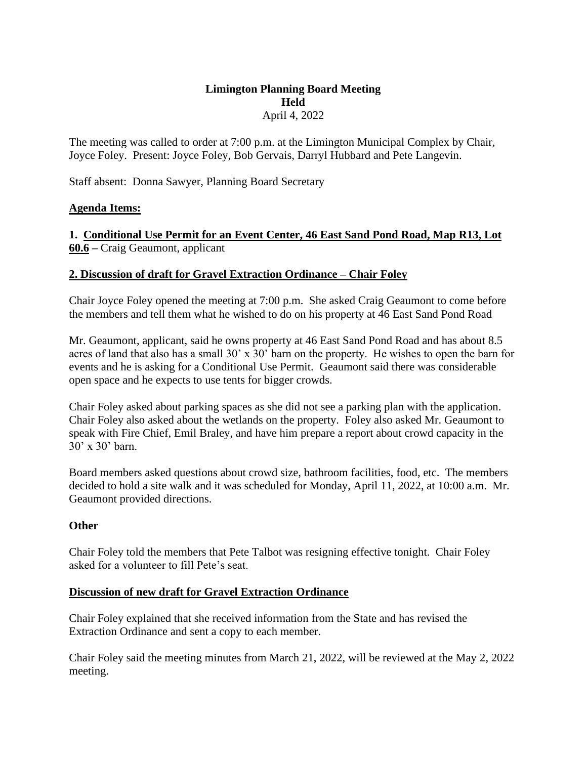## **Limington Planning Board Meeting Held**  April 4, 2022

The meeting was called to order at 7:00 p.m. at the Limington Municipal Complex by Chair, Joyce Foley. Present: Joyce Foley, Bob Gervais, Darryl Hubbard and Pete Langevin.

Staff absent: Donna Sawyer, Planning Board Secretary

# **Agenda Items:**

**1. Conditional Use Permit for an Event Center, 46 East Sand Pond Road, Map R13, Lot 60.6 –** Craig Geaumont, applicant

# **2. Discussion of draft for Gravel Extraction Ordinance – Chair Foley**

Chair Joyce Foley opened the meeting at 7:00 p.m. She asked Craig Geaumont to come before the members and tell them what he wished to do on his property at 46 East Sand Pond Road

Mr. Geaumont, applicant, said he owns property at 46 East Sand Pond Road and has about 8.5 acres of land that also has a small 30' x 30' barn on the property. He wishes to open the barn for events and he is asking for a Conditional Use Permit. Geaumont said there was considerable open space and he expects to use tents for bigger crowds.

Chair Foley asked about parking spaces as she did not see a parking plan with the application. Chair Foley also asked about the wetlands on the property. Foley also asked Mr. Geaumont to speak with Fire Chief, Emil Braley, and have him prepare a report about crowd capacity in the 30' x 30' barn.

Board members asked questions about crowd size, bathroom facilities, food, etc. The members decided to hold a site walk and it was scheduled for Monday, April 11, 2022, at 10:00 a.m. Mr. Geaumont provided directions.

## **Other**

Chair Foley told the members that Pete Talbot was resigning effective tonight. Chair Foley asked for a volunteer to fill Pete's seat.

## **Discussion of new draft for Gravel Extraction Ordinance**

Chair Foley explained that she received information from the State and has revised the Extraction Ordinance and sent a copy to each member.

Chair Foley said the meeting minutes from March 21, 2022, will be reviewed at the May 2, 2022 meeting.